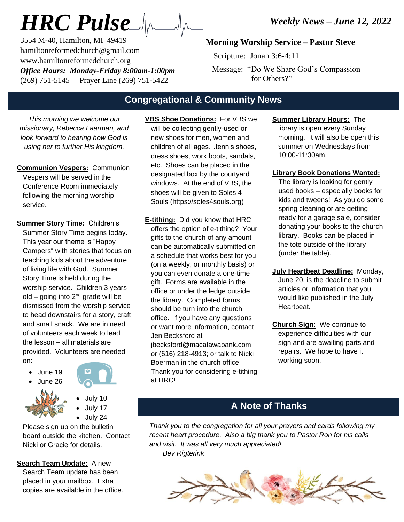3554 M-40, Hamilton, MI 49419 hamiltonreformedchurch@gmail.com www.hamiltonreformedchurch.org *Office Hours: Monday-Friday 8:00am-1:00pm* (269) 751-5145 Prayer Line (269) 751-5422

## **Morning Worship Service – Pastor Steve**

Scripture: Jonah 3:6-4:11

 Message: "Do We Share God's Compassion for Others?"

## **Congregational & Community News**

*This morning we welcome our missionary, Rebecca Laarman, and look forward to hearing how God is using her to further His kingdom.*

- **Communion Vespers:** Communion Vespers will be served in the Conference Room immediately following the morning worship service.
- **Summer Story Time:** Children's Summer Story Time begins today. This year our theme is "Happy Campers" with stories that focus on teaching kids about the adventure of living life with God. Summer Story Time is held during the worship service. Children 3 years old – going into 2<sup>nd</sup> grade will be dismissed from the worship service to head downstairs for a story, craft and small snack. We are in need of volunteers each week to lead the lesson – all materials are provided. Volunteers are needed on:
	- June 19





• July 10 • July 17

• July 24

Please sign up on the bulletin board outside the kitchen. Contact Nicki or Gracie for details.

**Search Team Update:** A new Search Team update has been placed in your mailbox. Extra copies are available in the office.

- **VBS Shoe Donations:** For VBS we **BU SHOC BURGIONS:** THE VBU<br>will be collecting gently-used or new shoes for men, women and children of all ages…tennis shoes, dress shoes, work boots, sandals, etc. Shoes can be placed in the designated box by the courtyard windows. At the end of VBS, the shoes will be given to Soles 4 Souls (https://soles4souls.org)
- **E-tithing:** Did you know that HRC offers the option of e-tithing? Your gifts to the church of any amount can be automatically submitted on a schedule that works best for you (on a weekly, or monthly basis) or you can even donate a one-time gift. Forms are available in the office or under the ledge outside the library. Completed forms should be turn into the church office. If you have any questions or want more information, contact Jen Becksford at jbecksford@macatawabank.com or (616) 218-4913; or talk to Nicki

Boerman in the church office. Thank you for considering e-tithing at HRC!

**Summer Library Hours:** The library is open every Sunday morning. It will also be open this summer on Wednesdays from 10:00-11:30am.

**Library Book Donations Wanted:**

The library is looking for gently used books – especially books for kids and tweens! As you do some spring cleaning or are getting ready for a garage sale, consider donating your books to the church library. Books can be placed in the tote outside of the library (under the table).

- **July Heartbeat Deadline:** Monday,
	- June 20, is the deadline to submit articles or information that you would like published in the July Heartbeat.
- **Church Sign:** We continue to experience difficulties with our sign and are awaiting parts and repairs. We hope to have it working soon.

# **A Note of Thanks**

*Thank you to the congregation for all your prayers and cards following my recent heart procedure. Also a big thank you to Pastor Ron for his calls and visit. It was all very much appreciated! Bev Rigterink*